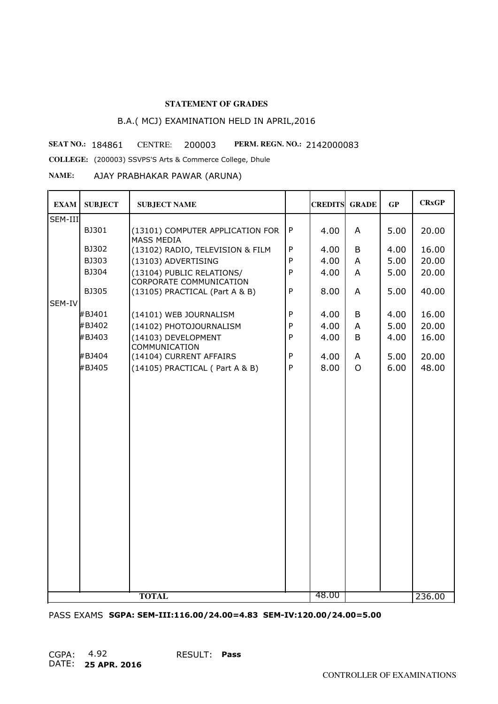# B.A.( MCJ) EXAMINATION HELD IN APRIL,2016

**SEAT NO.: 184861 CENTRE: 200003 PERM. REGN. NO.: 2142000083** 

**COLLEGE:** (200003) SSVPS'S Arts & Commerce College, Dhule

**NAME:** AJAY PRABHAKAR PAWAR (ARUNA)

| <b>EXAM</b> | <b>SUBJECT</b> | <b>SUBJECT NAME</b>                                         |              | <b>CREDITS GRADE</b> |          | GP   | <b>CRxGP</b> |
|-------------|----------------|-------------------------------------------------------------|--------------|----------------------|----------|------|--------------|
| SEM-III     |                |                                                             |              |                      |          |      |              |
|             | BJ301          | (13101) COMPUTER APPLICATION FOR<br><b>MASS MEDIA</b>       | $\mathsf{P}$ | 4.00                 | A        | 5.00 | 20.00        |
|             | BJ302          | (13102) RADIO, TELEVISION & FILM                            | P            | 4.00                 | B        | 4.00 | 16.00        |
|             | BJ303          | (13103) ADVERTISING                                         | P            | 4.00                 | A        | 5.00 | 20.00        |
|             | BJ304          | (13104) PUBLIC RELATIONS/<br><b>CORPORATE COMMUNICATION</b> | $\mathsf{P}$ | 4.00                 | A        | 5.00 | 20.00        |
|             | <b>BJ305</b>   | (13105) PRACTICAL (Part A & B)                              | P            | 8.00                 | A        | 5.00 | 40.00        |
| SEM-IV      |                |                                                             |              |                      |          |      |              |
|             | #BJ401         | (14101) WEB JOURNALISM                                      | P            | 4.00                 | B        | 4.00 | 16.00        |
|             | #BJ402         | (14102) PHOTOJOURNALISM                                     | P            | 4.00                 | A        | 5.00 | 20.00        |
|             | #BJ403         | (14103) DEVELOPMENT<br>COMMUNICATION                        | $\mathsf{P}$ | 4.00                 | B        | 4.00 | 16.00        |
|             | #BJ404         | (14104) CURRENT AFFAIRS                                     | P            | 4.00                 | A        | 5.00 | 20.00        |
|             | #BJ405         | (14105) PRACTICAL (Part A & B)                              | P            | 8.00                 | $\Omega$ | 6.00 | 48.00        |
|             |                |                                                             |              |                      |          |      |              |
|             |                | <b>TOTAL</b>                                                |              | 48.00                |          |      | 236.00       |

PASS EXAMS **SGPA: SEM-III:116.00/24.00=4.83 SEM-IV:120.00/24.00=5.00**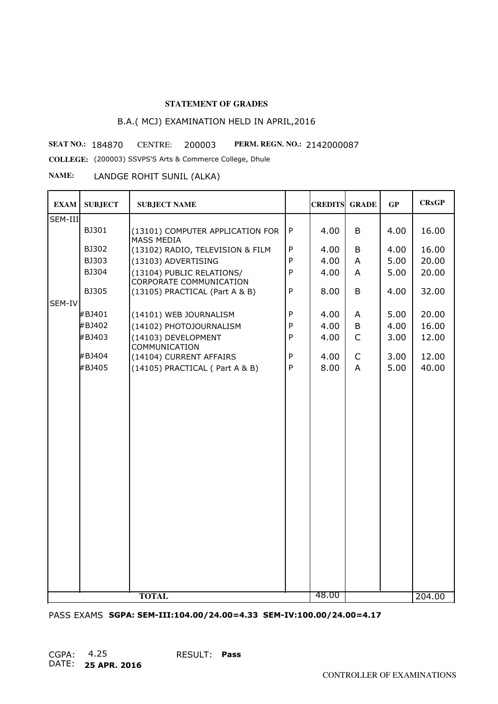# B.A.( MCJ) EXAMINATION HELD IN APRIL,2016

**SEAT NO.: 184870 CENTRE: 200003 PERM. REGN. NO.:** 

PERM. REGN. NO.: 2142000087

**COLLEGE:** (200003) SSVPS'S Arts & Commerce College, Dhule

**NAME:** LANDGE ROHIT SUNIL (ALKA)

| <b>EXAM</b> | <b>SUBJECT</b> | <b>SUBJECT NAME</b>                                         |              | <b>CREDITS</b> | <b>GRADE</b>   | GP   | <b>CR<sub>xGP</sub></b> |
|-------------|----------------|-------------------------------------------------------------|--------------|----------------|----------------|------|-------------------------|
| SEM-III     |                |                                                             |              |                |                |      |                         |
|             | BJ301          | (13101) COMPUTER APPLICATION FOR<br>MASS MEDIA              | P            | 4.00           | B              | 4.00 | 16.00                   |
|             | BJ302          | (13102) RADIO, TELEVISION & FILM                            | ${\sf P}$    | 4.00           | B              | 4.00 | 16.00                   |
|             | BJ303          | (13103) ADVERTISING                                         | $\mathsf{P}$ | 4.00           | A              | 5.00 | 20.00                   |
|             | BJ304          | (13104) PUBLIC RELATIONS/<br><b>CORPORATE COMMUNICATION</b> | $\mathsf{P}$ | 4.00           | $\overline{A}$ | 5.00 | 20.00                   |
|             | BJ305          | (13105) PRACTICAL (Part A & B)                              | $\mathsf{P}$ | 8.00           | B              | 4.00 | 32.00                   |
| SEM-IV      |                |                                                             |              |                |                |      |                         |
|             | #BJ401         | (14101) WEB JOURNALISM                                      | $\mathsf{P}$ | 4.00           | A              | 5.00 | 20.00                   |
|             | #BJ402         | (14102) PHOTOJOURNALISM                                     | $\mathsf{P}$ | 4.00           | B              | 4.00 | 16.00                   |
|             | #BJ403         | (14103) DEVELOPMENT<br>COMMUNICATION                        | $\mathsf{P}$ | 4.00           | $\mathsf{C}$   | 3.00 | 12.00                   |
|             | #BJ404         | (14104) CURRENT AFFAIRS                                     | $\mathsf{P}$ | 4.00           | $\mathsf{C}$   | 3.00 | 12.00                   |
|             | #BJ405         | (14105) PRACTICAL (Part A & B)                              | $\mathsf{P}$ | 8.00           | $\overline{A}$ | 5.00 | 40.00                   |
|             |                |                                                             |              |                |                |      |                         |
|             |                |                                                             |              |                |                |      |                         |
|             |                |                                                             |              |                |                |      |                         |
|             |                |                                                             |              |                |                |      |                         |
|             |                |                                                             |              |                |                |      |                         |
|             |                |                                                             |              |                |                |      |                         |
|             |                |                                                             |              |                |                |      |                         |
|             |                | <b>TOTAL</b>                                                |              | 48.00          |                |      | 204.00                  |

PASS EXAMS **SGPA: SEM-III:104.00/24.00=4.33 SEM-IV:100.00/24.00=4.17**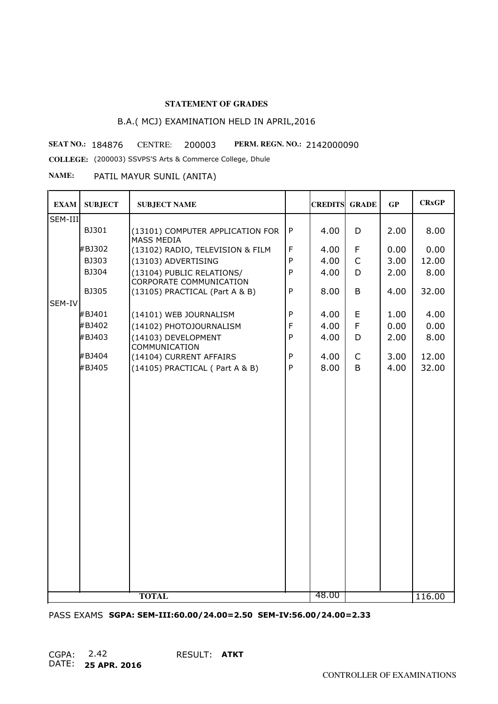# B.A.( MCJ) EXAMINATION HELD IN APRIL,2016

PERM. REGN. NO.: 2142000090 **SEAT NO.: 184876 CENTRE: 200003 PERM. REGN. NO.:** 

**COLLEGE:** (200003) SSVPS'S Arts & Commerce College, Dhule

**NAME:** PATIL MAYUR SUNIL (ANITA)

| <b>EXAM</b> | <b>SUBJECT</b> | <b>SUBJECT NAME</b>                                         |              | <b>CREDITS GRADE</b> |              | GP   | <b>CRxGP</b> |
|-------------|----------------|-------------------------------------------------------------|--------------|----------------------|--------------|------|--------------|
| SEM-III     |                |                                                             |              |                      |              |      |              |
|             | BJ301          | (13101) COMPUTER APPLICATION FOR<br><b>MASS MEDIA</b>       | $\mathsf{P}$ | 4.00                 | D            | 2.00 | 8.00         |
|             | #BJ302         | (13102) RADIO, TELEVISION & FILM                            | $\mathsf F$  | 4.00                 | F            | 0.00 | 0.00         |
|             | BJ303          | (13103) ADVERTISING                                         | P            | 4.00                 | $\mathsf{C}$ | 3.00 | 12.00        |
|             | BJ304          | (13104) PUBLIC RELATIONS/<br><b>CORPORATE COMMUNICATION</b> | $\mathsf{P}$ | 4.00                 | D            | 2.00 | 8.00         |
|             | BJ305          | (13105) PRACTICAL (Part A & B)                              | $\mathsf{P}$ | 8.00                 | B            | 4.00 | 32.00        |
| SEM-IV      |                |                                                             |              |                      |              |      |              |
|             | #BJ401         | (14101) WEB JOURNALISM                                      | $\mathsf{P}$ | 4.00                 | E            | 1.00 | 4.00         |
|             | #BJ402         | (14102) PHOTOJOURNALISM                                     | F            | 4.00                 | F            | 0.00 | 0.00         |
|             | #BJ403         | (14103) DEVELOPMENT<br>COMMUNICATION                        | $\mathsf{P}$ | 4.00                 | D            | 2.00 | 8.00         |
|             | #BJ404         | (14104) CURRENT AFFAIRS                                     | P            | 4.00                 | $\mathsf{C}$ | 3.00 | 12.00        |
|             | #BJ405         | (14105) PRACTICAL (Part A & B)                              | $\mathsf{P}$ | 8.00                 | B            | 4.00 | 32.00        |
|             |                |                                                             |              |                      |              |      |              |
|             |                | <b>TOTAL</b>                                                |              | 48.00                |              |      | 116.00       |

PASS EXAMS **SGPA: SEM-III:60.00/24.00=2.50 SEM-IV:56.00/24.00=2.33**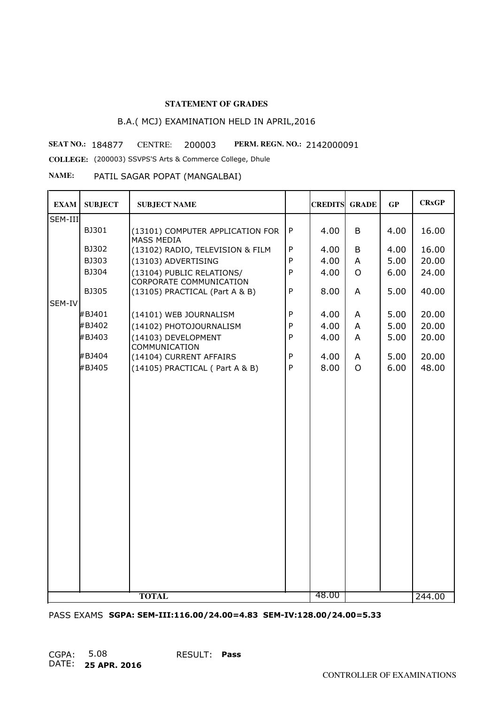# B.A.( MCJ) EXAMINATION HELD IN APRIL,2016

**SEAT NO.: 184877 CENTRE: 200003 PERM. REGN. NO.:** 

PERM. REGN. NO.: 2142000091 **COLLEGE:** (200003) SSVPS'S Arts & Commerce College, Dhule

**NAME:** PATIL SAGAR POPAT (MANGALBAI)

| <b>EXAM</b> | <b>SUBJECT</b> | <b>SUBJECT NAME</b>                                         |              | <b>CREDITS GRADE</b> |                | GP   | <b>CRxGP</b> |
|-------------|----------------|-------------------------------------------------------------|--------------|----------------------|----------------|------|--------------|
| SEM-III     |                |                                                             |              |                      |                |      |              |
|             | BJ301          | (13101) COMPUTER APPLICATION FOR<br><b>MASS MEDIA</b>       | ${\sf P}$    | 4.00                 | B              | 4.00 | 16.00        |
|             | BJ302          | (13102) RADIO, TELEVISION & FILM                            | $\mathsf{P}$ | 4.00                 | B              | 4.00 | 16.00        |
|             | BJ303          | (13103) ADVERTISING                                         | $\mathsf{P}$ | 4.00                 | $\overline{A}$ | 5.00 | 20.00        |
|             | BJ304          | (13104) PUBLIC RELATIONS/<br><b>CORPORATE COMMUNICATION</b> | $\mathsf{P}$ | 4.00                 | $\overline{O}$ | 6.00 | 24.00        |
|             | BJ305          | (13105) PRACTICAL (Part A & B)                              | $\mathsf{P}$ | 8.00                 | A              | 5.00 | 40.00        |
| SEM-IV      |                |                                                             |              |                      |                |      |              |
|             | #BJ401         | (14101) WEB JOURNALISM                                      | $\mathsf{P}$ | 4.00                 | A              | 5.00 | 20.00        |
|             | #BJ402         | (14102) PHOTOJOURNALISM                                     | P            | 4.00                 | $\overline{A}$ | 5.00 | 20.00        |
|             | #BJ403         | (14103) DEVELOPMENT<br>COMMUNICATION                        | $\mathsf{P}$ | 4.00                 | A              | 5.00 | 20.00        |
|             | #BJ404         | (14104) CURRENT AFFAIRS                                     | P            | 4.00                 | A              | 5.00 | 20.00        |
|             | #BJ405         | (14105) PRACTICAL (Part A & B)                              | P            | 8.00                 | $\Omega$       | 6.00 | 48.00        |
|             |                |                                                             |              |                      |                |      |              |
|             |                | <b>TOTAL</b>                                                |              | 48.00                |                |      | 244.00       |

PASS EXAMS **SGPA: SEM-III:116.00/24.00=4.83 SEM-IV:128.00/24.00=5.33**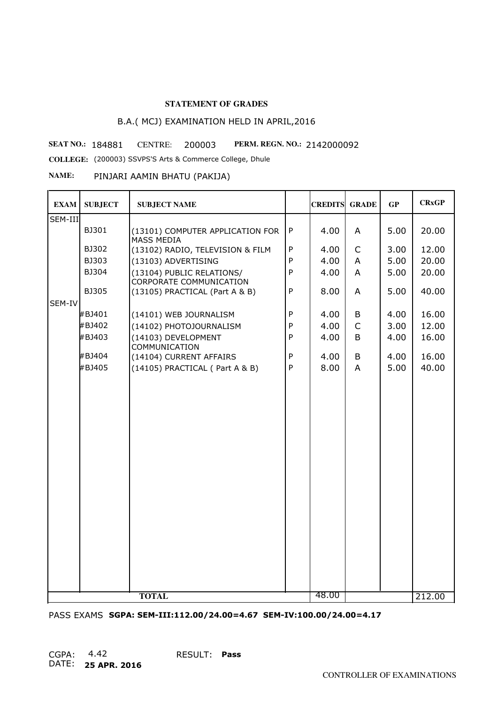## B.A.( MCJ) EXAMINATION HELD IN APRIL,2016

**SEAT NO.: 184881 CENTRE: 200003 PERM. REGN. NO.:** 

PERM. REGN. NO.: 2142000092

**COLLEGE:** (200003) SSVPS'S Arts & Commerce College, Dhule

#### **NAME:** PINJARI AAMIN BHATU (PAKIJA)

| <b>EXAM</b> | <b>SUBJECT</b> | <b>SUBJECT NAME</b>                                         |              | <b>CREDITS GRADE</b> |                | GP   | <b>CRxGP</b> |
|-------------|----------------|-------------------------------------------------------------|--------------|----------------------|----------------|------|--------------|
| SEM-III     |                |                                                             |              |                      |                |      |              |
|             | BJ301          | (13101) COMPUTER APPLICATION FOR<br>MASS MEDIA              | $\mathsf{P}$ | 4.00                 | A              | 5.00 | 20.00        |
|             | BJ302          | (13102) RADIO, TELEVISION & FILM                            | P            | 4.00                 | $\mathsf{C}$   | 3.00 | 12.00        |
|             | BJ303          | (13103) ADVERTISING                                         | P            | 4.00                 | A              | 5.00 | 20.00        |
|             | BJ304          | (13104) PUBLIC RELATIONS/<br><b>CORPORATE COMMUNICATION</b> | $\mathsf{P}$ | 4.00                 | A              | 5.00 | 20.00        |
|             | BJ305          | (13105) PRACTICAL (Part A & B)                              | P            | 8.00                 | A              | 5.00 | 40.00        |
| SEM-IV      |                |                                                             |              |                      |                |      |              |
|             | #BJ401         | (14101) WEB JOURNALISM                                      | P            | 4.00                 | B              | 4.00 | 16.00        |
|             | #BJ402         | (14102) PHOTOJOURNALISM                                     | P            | 4.00                 | $\mathsf{C}$   | 3.00 | 12.00        |
|             | #BJ403         | (14103) DEVELOPMENT<br>COMMUNICATION                        | $\mathsf{P}$ | 4.00                 | B              | 4.00 | 16.00        |
|             | #BJ404         | (14104) CURRENT AFFAIRS                                     | P            | 4.00                 | B              | 4.00 | 16.00        |
|             | #BJ405         | (14105) PRACTICAL (Part A & B)                              | P            | 8.00                 | $\overline{A}$ | 5.00 | 40.00        |
|             |                |                                                             |              |                      |                |      |              |
|             |                | <b>TOTAL</b>                                                |              | 48.00                |                |      | 212.00       |

PASS EXAMS **SGPA: SEM-III:112.00/24.00=4.67 SEM-IV:100.00/24.00=4.17**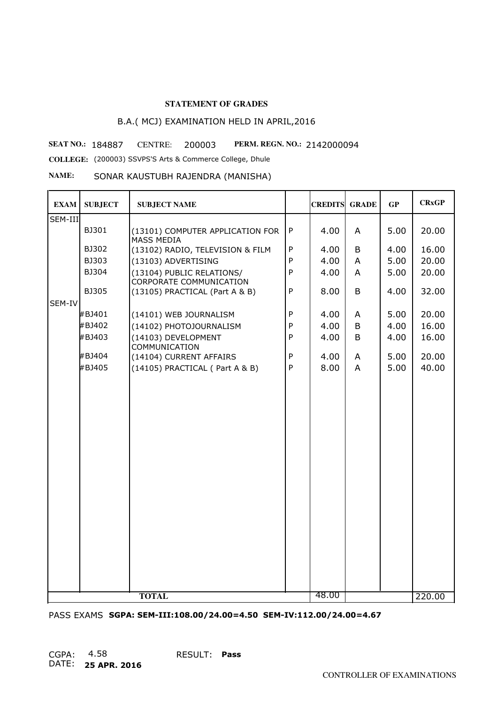## B.A.( MCJ) EXAMINATION HELD IN APRIL,2016

PERM. REGN. NO.: 2142000094 **SEAT NO.: 184887 CENTRE: 200003 PERM. REGN. NO.:** 

**COLLEGE:** (200003) SSVPS'S Arts & Commerce College, Dhule

**NAME:** SONAR KAUSTUBH RAJENDRA (MANISHA)

| <b>EXAM</b> | <b>SUBJECT</b> | <b>SUBJECT NAME</b>                                         |              | <b>CREDITS GRADE</b> |                | GP   | <b>CRxGP</b> |
|-------------|----------------|-------------------------------------------------------------|--------------|----------------------|----------------|------|--------------|
| SEM-III     |                |                                                             |              |                      |                |      |              |
|             | BJ301          | (13101) COMPUTER APPLICATION FOR<br><b>MASS MEDIA</b>       | ${\sf P}$    | 4.00                 | A              | 5.00 | 20.00        |
|             | BJ302          | (13102) RADIO, TELEVISION & FILM                            | P            | 4.00                 | B              | 4.00 | 16.00        |
|             | BJ303          | (13103) ADVERTISING                                         | $\mathsf{P}$ | 4.00                 | A              | 5.00 | 20.00        |
|             | BJ304          | (13104) PUBLIC RELATIONS/<br><b>CORPORATE COMMUNICATION</b> | $\mathsf{P}$ | 4.00                 | A              | 5.00 | 20.00        |
|             | <b>BJ305</b>   | (13105) PRACTICAL (Part A & B)                              | $\mathsf{P}$ | 8.00                 | B              | 4.00 | 32.00        |
| SEM-IV      |                |                                                             |              |                      |                |      |              |
|             | #BJ401         | (14101) WEB JOURNALISM                                      | $\mathsf{P}$ | 4.00                 | A              | 5.00 | 20.00        |
|             | #BJ402         | (14102) PHOTOJOURNALISM                                     | $\mathsf{P}$ | 4.00                 | B              | 4.00 | 16.00        |
|             | #BJ403         | (14103) DEVELOPMENT<br>COMMUNICATION                        | $\mathsf{P}$ | 4.00                 | B              | 4.00 | 16.00        |
|             | #BJ404         | (14104) CURRENT AFFAIRS                                     | P            | 4.00                 | A              | 5.00 | 20.00        |
|             | #BJ405         | (14105) PRACTICAL (Part A & B)                              | P            | 8.00                 | $\overline{A}$ | 5.00 | 40.00        |
|             |                |                                                             |              |                      |                |      |              |
|             |                | <b>TOTAL</b>                                                |              | 48.00                |                |      | 220.00       |

PASS EXAMS **SGPA: SEM-III:108.00/24.00=4.50 SEM-IV:112.00/24.00=4.67**